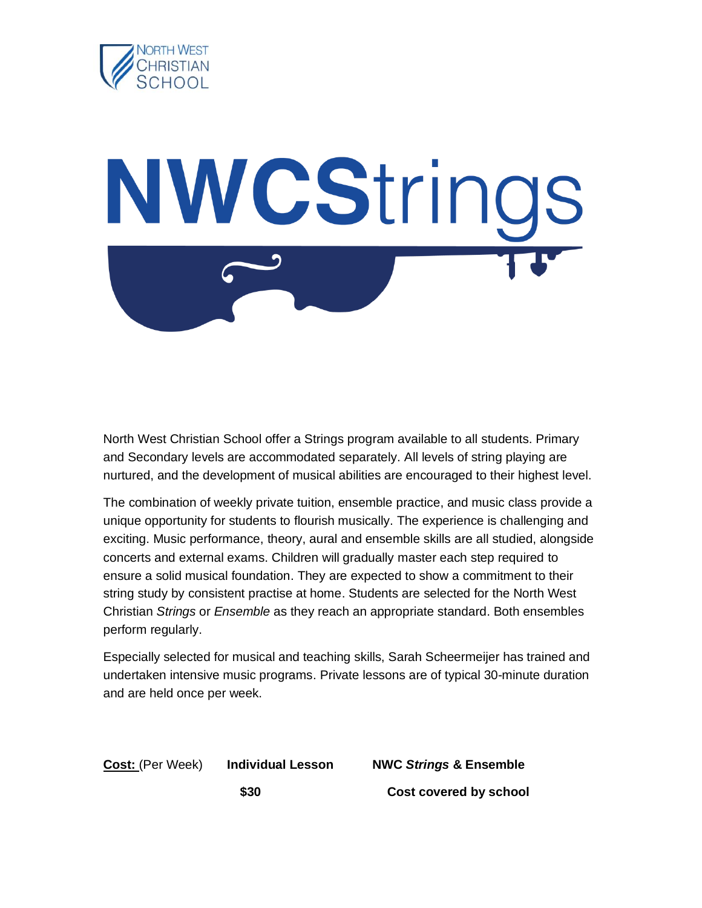

## NWCStrings

North West Christian School offer a Strings program available to all students. Primary and Secondary levels are accommodated separately. All levels of string playing are nurtured, and the development of musical abilities are encouraged to their highest level.

The combination of weekly private tuition, ensemble practice, and music class provide a unique opportunity for students to flourish musically. The experience is challenging and exciting. Music performance, theory, aural and ensemble skills are all studied, alongside concerts and external exams. Children will gradually master each step required to ensure a solid musical foundation. They are expected to show a commitment to their string study by consistent practise at home. Students are selected for the North West Christian *Strings* or *Ensemble* as they reach an appropriate standard. Both ensembles perform regularly.

Especially selected for musical and teaching skills, Sarah Scheermeijer has trained and undertaken intensive music programs. Private lessons are of typical 30-minute duration and are held once per week.

**Cost:** (Per Week) **Individual Lesson NWC** *Strings* **& Ensemble \$30 Cost covered by school**